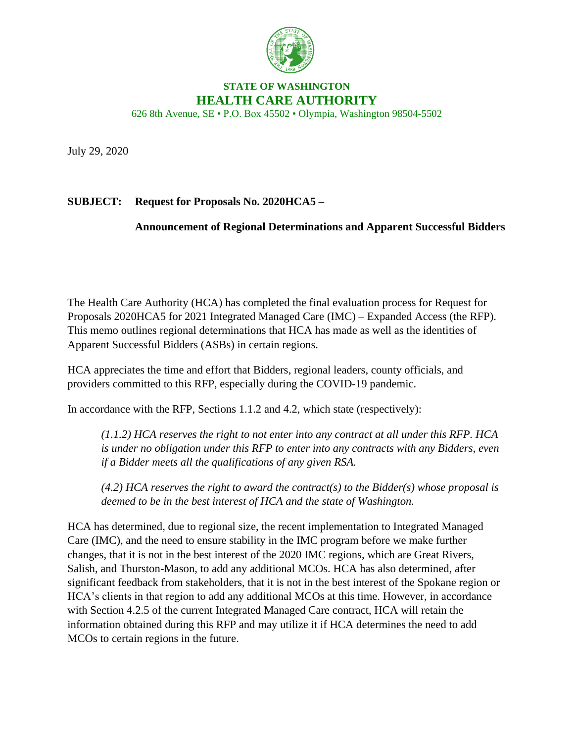

## **STATE OF WASHINGTON HEALTH CARE AUTHORITY**

626 8th Avenue, SE • P.O. Box 45502 • Olympia, Washington 98504-5502

July 29, 2020

## **SUBJECT: Request for Proposals No. 2020HCA5 –**

## **Announcement of Regional Determinations and Apparent Successful Bidders**

The Health Care Authority (HCA) has completed the final evaluation process for Request for Proposals 2020HCA5 for 2021 Integrated Managed Care (IMC) – Expanded Access (the RFP). This memo outlines regional determinations that HCA has made as well as the identities of Apparent Successful Bidders (ASBs) in certain regions.

HCA appreciates the time and effort that Bidders, regional leaders, county officials, and providers committed to this RFP, especially during the COVID-19 pandemic.

In accordance with the RFP, Sections 1.1.2 and 4.2, which state (respectively):

*(1.1.2) HCA reserves the right to not enter into any contract at all under this RFP. HCA is under no obligation under this RFP to enter into any contracts with any Bidders, even if a Bidder meets all the qualifications of any given RSA.*

*(4.2) HCA reserves the right to award the contract(s) to the Bidder(s) whose proposal is deemed to be in the best interest of HCA and the state of Washington.*

HCA has determined, due to regional size, the recent implementation to Integrated Managed Care (IMC), and the need to ensure stability in the IMC program before we make further changes, that it is not in the best interest of the 2020 IMC regions, which are Great Rivers, Salish, and Thurston-Mason, to add any additional MCOs. HCA has also determined, after significant feedback from stakeholders, that it is not in the best interest of the Spokane region or HCA's clients in that region to add any additional MCOs at this time. However, in accordance with Section 4.2.5 of the current Integrated Managed Care contract, HCA will retain the information obtained during this RFP and may utilize it if HCA determines the need to add MCOs to certain regions in the future.